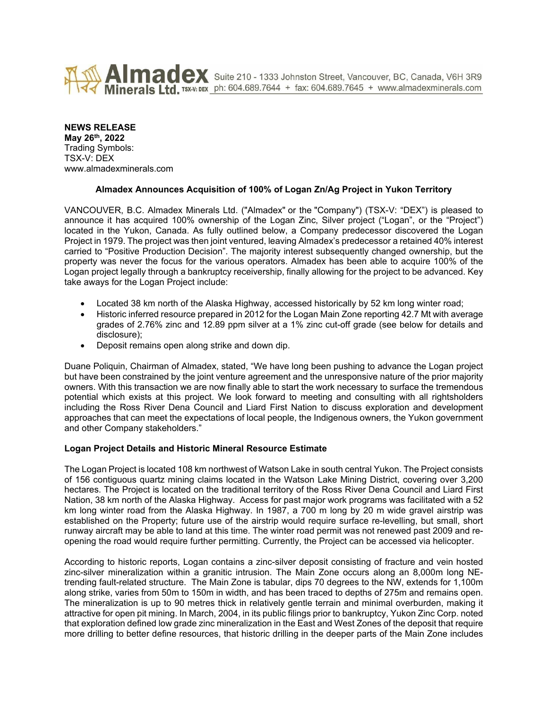

Almadex Suite 210 - 1333 Johnston Street, Vancouver, BC, Canada, V6H 3R9 Minerals Ltd. TSX-V: DEX. ph: 604.689.7644 + fax: 604.689.7645 + www.almadexminerals.com

# **NEWS RELEASE**

**May 26th, 2022** Trading Symbols: TSX-V: DEX www.almadexminerals.com

# **Almadex Announces Acquisition of 100% of Logan Zn/Ag Project in Yukon Territory**

VANCOUVER, B.C. Almadex Minerals Ltd. ("Almadex" or the "Company") (TSX-V: "DEX") is pleased to announce it has acquired 100% ownership of the Logan Zinc, Silver project ("Logan", or the "Project") located in the Yukon, Canada. As fully outlined below, a Company predecessor discovered the Logan Project in 1979. The project was then joint ventured, leaving Almadex's predecessor a retained 40% interest carried to "Positive Production Decision". The majority interest subsequently changed ownership, but the property was never the focus for the various operators. Almadex has been able to acquire 100% of the Logan project legally through a bankruptcy receivership, finally allowing for the project to be advanced. Key take aways for the Logan Project include:

- Located 38 km north of the Alaska Highway, accessed historically by 52 km long winter road;
- Historic inferred resource prepared in 2012 for the Logan Main Zone reporting 42.7 Mt with average grades of 2.76% zinc and 12.89 ppm silver at a 1% zinc cut-off grade (see below for details and disclosure);
- Deposit remains open along strike and down dip.

Duane Poliquin, Chairman of Almadex, stated, "We have long been pushing to advance the Logan project but have been constrained by the joint venture agreement and the unresponsive nature of the prior majority owners. With this transaction we are now finally able to start the work necessary to surface the tremendous potential which exists at this project. We look forward to meeting and consulting with all rightsholders including the Ross River Dena Council and Liard First Nation to discuss exploration and development approaches that can meet the expectations of local people, the Indigenous owners, the Yukon government and other Company stakeholders."

### **Logan Project Details and Historic Mineral Resource Estimate**

The Logan Project is located 108 km northwest of Watson Lake in south central Yukon. The Project consists of 156 contiguous quartz mining claims located in the Watson Lake Mining District, covering over 3,200 hectares. The Project is located on the traditional territory of the Ross River Dena Council and Liard First Nation, 38 km north of the Alaska Highway. Access for past major work programs was facilitated with a 52 km long winter road from the Alaska Highway. In 1987, a 700 m long by 20 m wide gravel airstrip was established on the Property; future use of the airstrip would require surface re-levelling, but small, short runway aircraft may be able to land at this time. The winter road permit was not renewed past 2009 and reopening the road would require further permitting. Currently, the Project can be accessed via helicopter.

According to historic reports, Logan contains a zinc-silver deposit consisting of fracture and vein hosted zinc-silver mineralization within a granitic intrusion. The Main Zone occurs along an 8,000m long NEtrending fault-related structure. The Main Zone is tabular, dips 70 degrees to the NW, extends for 1,100m along strike, varies from 50m to 150m in width, and has been traced to depths of 275m and remains open. The mineralization is up to 90 metres thick in relatively gentle terrain and minimal overburden, making it attractive for open pit mining. In March, 2004, in its public filings prior to bankruptcy, Yukon Zinc Corp. noted that exploration defined low grade zinc mineralization in the East and West Zones of the deposit that require more drilling to better define resources, that historic drilling in the deeper parts of the Main Zone includes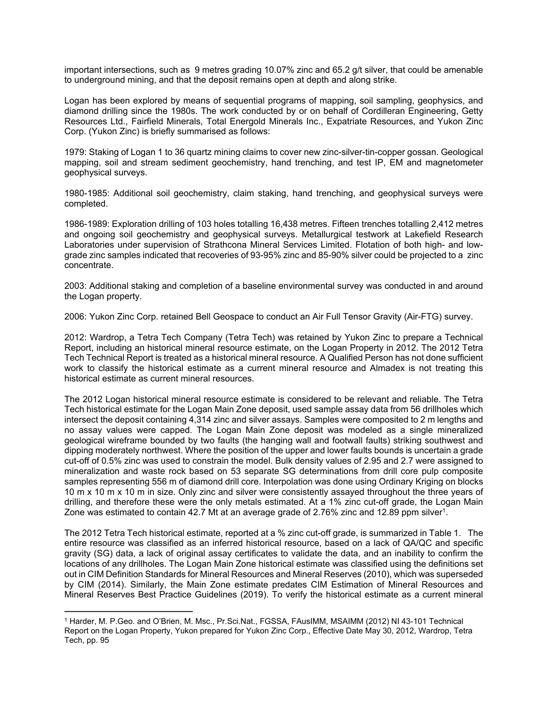important intersections, such as 9 metres grading 10.07% zinc and 65.2 g/t silver, that could be amenable to underground mining, and that the deposit remains open at depth and along strike.

Logan has been explored by means of sequential programs of mapping, soil sampling, geophysics, and diamond drilling since the 1980s. The work conducted by or on behalf of Cordilleran Engineering, Getty Resources Ltd., Fairfield Minerals, Total Energold Minerals Inc., Expatriate Resources, and Yukon Zinc Corp. (Yukon Zinc) is briefly summarised as follows:

1979: Staking of Logan 1 to 36 quartz mining claims to cover new zinc-silver-tin-copper gossan. Geological mapping, soil and stream sediment geochemistry, hand trenching, and test IP, EM and magnetometer geophysical surveys.

1980-1985: Additional soil geochemistry, claim staking, hand trenching, and geophysical surveys were completed.

1986-1989: Exploration drilling of 103 holes totalling 16,438 metres. Fifteen trenches totalling 2,412 metres and ongoing soil geochemistry and geophysical surveys. Metallurgical testwork at Lakefield Research Laboratories under supervision of Strathcona Mineral Services Limited. Flotation of both high- and lowgrade zinc samples indicated that recoveries of 93-95% zinc and 85-90% silver could be projected to a zinc concentrate.

2003: Additional staking and completion of a baseline environmental survey was conducted in and around the Logan property.

2006: Yukon Zinc Corp. retained Bell Geospace to conduct an Air Full Tensor Gravity (Air-FTG) survey.

2012: Wardrop, a Tetra Tech Company (Tetra Tech) was retained by Yukon Zinc to prepare a Technical Report, including an historical mineral resource estimate, on the Logan Property in 2012. The 2012 Tetra Tech Technical Report is treated as a historical mineral resource. A Qualified Person has not done sufficient work to classify the historical estimate as a current mineral resource and Almadex is not treating this historical estimate as current mineral resources.

The 2012 Logan historical mineral resource estimate is considered to be relevant and reliable. The Tetra Tech historical estimate for the Logan Main Zone deposit, used sample assay data from 56 drillholes which intersect the deposit containing 4,314 zinc and silver assays. Samples were composited to 2 m lengths and no assay values were capped. The Logan Main Zone deposit was modeled as a single mineralized geological wireframe bounded by two faults (the hanging wall and footwall faults) striking southwest and dipping moderately northwest. Where the position of the upper and lower faults bounds is uncertain a grade cut-off of 0.5% zinc was used to constrain the model. Bulk density values of 2.95 and 2.7 were assigned to mineralization and waste rock based on 53 separate SG determinations from drill core pulp composite samples representing 556 m of diamond drill core. Interpolation was done using Ordinary Kriging on blocks 10 m x 10 m x 10 m in size. Only zinc and silver were consistently assayed throughout the three years of drilling, and therefore these were the only metals estimated. At a 1% zinc cut-off grade, the Logan Main Zone was estimated to contain 42.7 Mt at an average grade of 2.76% zinc and 12.89 ppm silver<sup>1</sup>.

The 2012 Tetra Tech historical estimate, reported at a % zinc cut-off grade, is summarized in Table 1. The entire resource was classified as an inferred historical resource, based on a lack of QA/QC and specific gravity (SG) data, a lack of original assay certificates to validate the data, and an inability to confirm the locations of any drillholes. The Logan Main Zone historical estimate was classified using the definitions set out in CIM Definition Standards for Mineral Resources and Mineral Reserves (2010), which was superseded by CIM (2014). Similarly, the Main Zone estimate predates CIM Estimation of Mineral Resources and Mineral Reserves Best Practice Guidelines (2019). To verify the historical estimate as a current mineral

<sup>1</sup> Harder, M. P.Geo. and O'Brien, M. Msc., Pr.Sci.Nat., FGSSA, FAusIMM, MSAIMM (2012) NI 43-101 Technical Report on the Logan Property, Yukon prepared for Yukon Zinc Corp., Effective Date May 30, 2012, Wardrop, Tetra Tech, pp. 95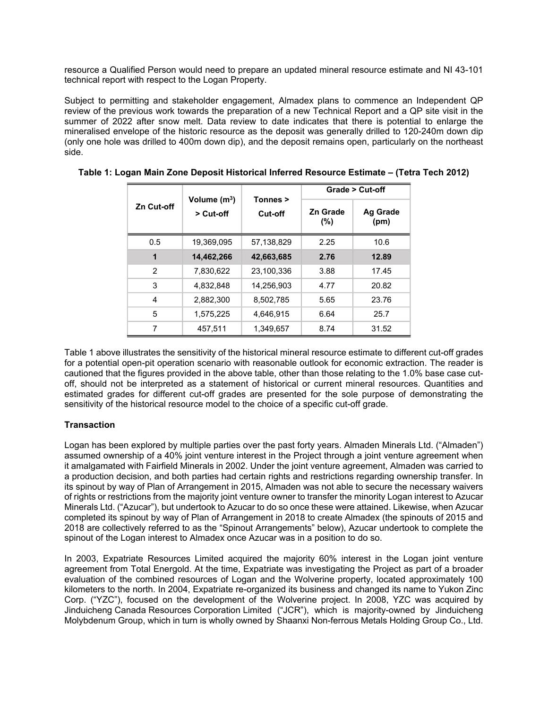resource a Qualified Person would need to prepare an updated mineral resource estimate and NI 43-101 technical report with respect to the Logan Property.

Subject to permitting and stakeholder engagement, Almadex plans to commence an Independent QP review of the previous work towards the preparation of a new Technical Report and a QP site visit in the summer of 2022 after snow melt. Data review to date indicates that there is potential to enlarge the mineralised envelope of the historic resource as the deposit was generally drilled to 120-240m down dip (only one hole was drilled to 400m down dip), and the deposit remains open, particularly on the northeast side.

| Zn Cut-off    | Volume (m <sup>3</sup> )<br>> Cut-off | Tonnes ><br>Cut-off | Grade > Cut-off |                  |
|---------------|---------------------------------------|---------------------|-----------------|------------------|
|               |                                       |                     | Zn Grade<br>(%) | Ag Grade<br>(pm) |
| 0.5           | 19,369,095                            | 57,138,829          | 2.25            | 10.6             |
| 1             | 14,462,266                            | 42,663,685          | 2.76            | 12.89            |
| $\mathcal{P}$ | 7,830,622                             | 23,100,336          | 3.88            | 17.45            |
| 3             | 4.832.848                             | 14.256.903          | 4.77            | 20.82            |
| 4             | 2,882,300                             | 8,502,785           | 5.65            | 23.76            |
| 5             | 1,575,225                             | 4.646.915           | 6.64            | 25.7             |
| 7             | 457,511                               | 1.349.657           | 8.74            | 31.52            |

**Table 1: Logan Main Zone Deposit Historical Inferred Resource Estimate – (Tetra Tech 2012)**

Table 1 above illustrates the sensitivity of the historical mineral resource estimate to different cut-off grades for a potential open-pit operation scenario with reasonable outlook for economic extraction. The reader is cautioned that the figures provided in the above table, other than those relating to the 1.0% base case cutoff, should not be interpreted as a statement of historical or current mineral resources. Quantities and estimated grades for different cut-off grades are presented for the sole purpose of demonstrating the sensitivity of the historical resource model to the choice of a specific cut-off grade.

# **Transaction**

Logan has been explored by multiple parties over the past forty years. Almaden Minerals Ltd. ("Almaden") assumed ownership of a 40% joint venture interest in the Project through a joint venture agreement when it amalgamated with Fairfield Minerals in 2002. Under the joint venture agreement, Almaden was carried to a production decision, and both parties had certain rights and restrictions regarding ownership transfer. In its spinout by way of Plan of Arrangement in 2015, Almaden was not able to secure the necessary waivers of rights or restrictions from the majority joint venture owner to transfer the minority Logan interest to Azucar Minerals Ltd. ("Azucar"), but undertook to Azucar to do so once these were attained. Likewise, when Azucar completed its spinout by way of Plan of Arrangement in 2018 to create Almadex (the spinouts of 2015 and 2018 are collectively referred to as the "Spinout Arrangements" below), Azucar undertook to complete the spinout of the Logan interest to Almadex once Azucar was in a position to do so.

In 2003, Expatriate Resources Limited acquired the majority 60% interest in the Logan joint venture agreement from Total Energold. At the time, Expatriate was investigating the Project as part of a broader evaluation of the combined resources of Logan and the Wolverine property, located approximately 100 kilometers to the north. In 2004, Expatriate re-organized its business and changed its name to Yukon Zinc Corp. ("YZC"), focused on the development of the Wolverine project. In 2008, YZC was acquired by Jinduicheng Canada Resources Corporation Limited ("JCR"), which is majority-owned by Jinduicheng Molybdenum Group, which in turn is wholly owned by Shaanxi Non-ferrous Metals Holding Group Co., Ltd.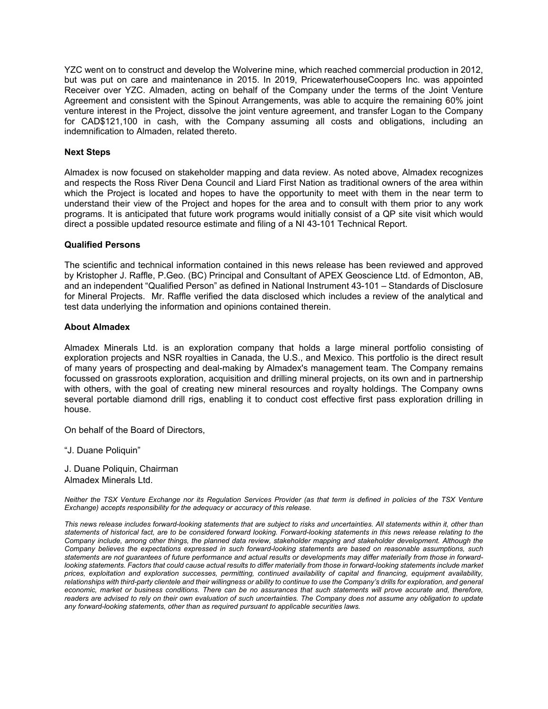YZC went on to construct and develop the Wolverine mine, which reached commercial production in 2012, but was put on care and maintenance in 2015. In 2019, PricewaterhouseCoopers Inc. was appointed Receiver over YZC. Almaden, acting on behalf of the Company under the terms of the Joint Venture Agreement and consistent with the Spinout Arrangements, was able to acquire the remaining 60% joint venture interest in the Project, dissolve the joint venture agreement, and transfer Logan to the Company for CAD\$121,100 in cash, with the Company assuming all costs and obligations, including an indemnification to Almaden, related thereto.

### **Next Steps**

Almadex is now focused on stakeholder mapping and data review. As noted above, Almadex recognizes and respects the Ross River Dena Council and Liard First Nation as traditional owners of the area within which the Project is located and hopes to have the opportunity to meet with them in the near term to understand their view of the Project and hopes for the area and to consult with them prior to any work programs. It is anticipated that future work programs would initially consist of a QP site visit which would direct a possible updated resource estimate and filing of a NI 43-101 Technical Report.

### **Qualified Persons**

The scientific and technical information contained in this news release has been reviewed and approved by Kristopher J. Raffle, P.Geo. (BC) Principal and Consultant of APEX Geoscience Ltd. of Edmonton, AB, and an independent "Qualified Person" as defined in National Instrument 43-101 – Standards of Disclosure for Mineral Projects. Mr. Raffle verified the data disclosed which includes a review of the analytical and test data underlying the information and opinions contained therein.

### **About Almadex**

Almadex Minerals Ltd. is an exploration company that holds a large mineral portfolio consisting of exploration projects and NSR royalties in Canada, the U.S., and Mexico. This portfolio is the direct result of many years of prospecting and deal-making by Almadex's management team. The Company remains focussed on grassroots exploration, acquisition and drilling mineral projects, on its own and in partnership with others, with the goal of creating new mineral resources and royalty holdings. The Company owns several portable diamond drill rigs, enabling it to conduct cost effective first pass exploration drilling in house.

On behalf of the Board of Directors,

"J. Duane Poliquin"

J. Duane Poliquin, Chairman Almadex Minerals Ltd.

*Neither the TSX Venture Exchange nor its Regulation Services Provider (as that term is defined in policies of the TSX Venture Exchange) accepts responsibility for the adequacy or accuracy of this release.*

*This news release includes forward-looking statements that are subject to risks and uncertainties. All statements within it, other than statements of historical fact, are to be considered forward looking. Forward-looking statements in this news release relating to the Company include, among other things, the planned data review, stakeholder mapping and stakeholder development. Although the Company believes the expectations expressed in such forward-looking statements are based on reasonable assumptions, such statements are not guarantees of future performance and actual results or developments may differ materially from those in forward*looking statements. Factors that could cause actual results to differ materially from those in forward-looking statements include market *prices, exploitation and exploration successes, permitting, continued availability of capital and financing, equipment availability, relationships with third-party clientele and their willingness or ability to continue to use the Company's drills for exploration, and general economic, market or business conditions. There can be no assurances that such statements will prove accurate and, therefore,*  readers are advised to rely on their own evaluation of such uncertainties. The Company does not assume any obligation to update *any forward-looking statements, other than as required pursuant to applicable securities laws.*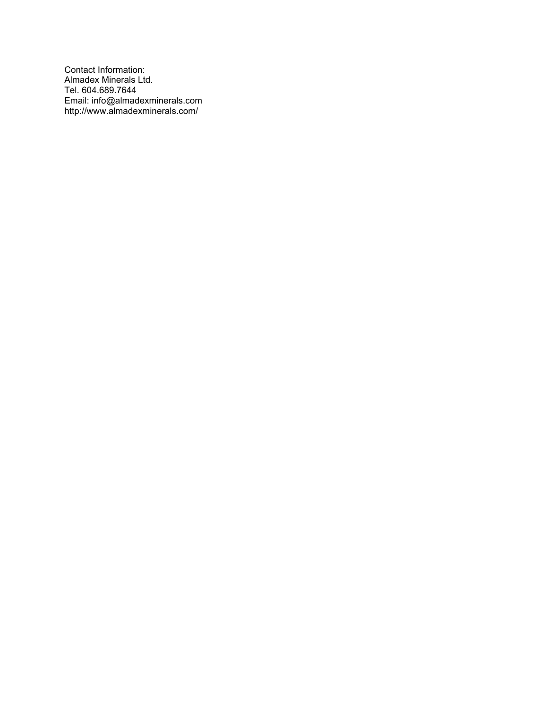Contact Information: Almadex Minerals Ltd. Tel. 604.689.7644 Email: info@almadexminerals.com http://www.almadexminerals.com/